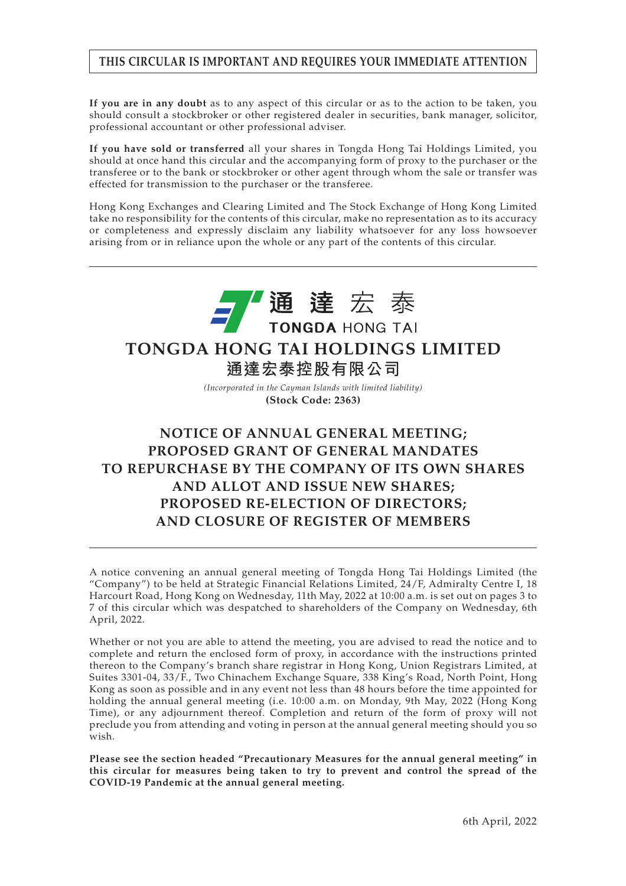### **THIS CIRCULAR IS IMPORTANT AND REQUIRES YOUR IMMEDIATE ATTENTION**

**If you are in any doubt** as to any aspect of this circular or as to the action to be taken, you should consult a stockbroker or other registered dealer in securities, bank manager, solicitor, professional accountant or other professional adviser.

**If you have sold or transferred** all your shares in Tongda Hong Tai Holdings Limited, you should at once hand this circular and the accompanying form of proxy to the purchaser or the transferee or to the bank or stockbroker or other agent through whom the sale or transfer was effected for transmission to the purchaser or the transferee.

Hong Kong Exchanges and Clearing Limited and The Stock Exchange of Hong Kong Limited take no responsibility for the contents of this circular, make no representation as to its accuracy or completeness and expressly disclaim any liability whatsoever for any loss howsoever arising from or in reliance upon the whole or any part of the contents of this circular.



# **TONGDA HONG TAI HOLDINGS LIMITED**

**通達宏泰控股有限公司**

*(Incorporated in the Cayman Islands with limited liability)* **(Stock Code: 2363)**

# **NOTICE OF ANNUAL GENERAL MEETING; PROPOSED GRANT OF GENERAL MANDATES TO REPURCHASE BY THE COMPANY OF ITS OWN SHARES AND ALLOT AND ISSUE NEW SHARES; PROPOSED RE-ELECTION OF DIRECTORS; AND CLOSURE OF REGISTER OF MEMBERS**

A notice convening an annual general meeting of Tongda Hong Tai Holdings Limited (the "Company") to be held at Strategic Financial Relations Limited, 24/F, Admiralty Centre I, 18 Harcourt Road, Hong Kong on Wednesday, 11th May, 2022 at 10:00 a.m. is set out on pages 3 to 7 of this circular which was despatched to shareholders of the Company on Wednesday, 6th April, 2022.

Whether or not you are able to attend the meeting, you are advised to read the notice and to complete and return the enclosed form of proxy, in accordance with the instructions printed thereon to the Company's branch share registrar in Hong Kong, Union Registrars Limited, at Suites 3301-04, 33/F., Two Chinachem Exchange Square, 338 King's Road, North Point, Hong Kong as soon as possible and in any event not less than 48 hours before the time appointed for holding the annual general meeting (i.e. 10:00 a.m. on Monday, 9th May, 2022 (Hong Kong Time), or any adjournment thereof. Completion and return of the form of proxy will not preclude you from attending and voting in person at the annual general meeting should you so wish.

**Please see the section headed "Precautionary Measures for the annual general meeting" in this circular for measures being taken to try to prevent and control the spread of the COVID-19 Pandemic at the annual general meeting.**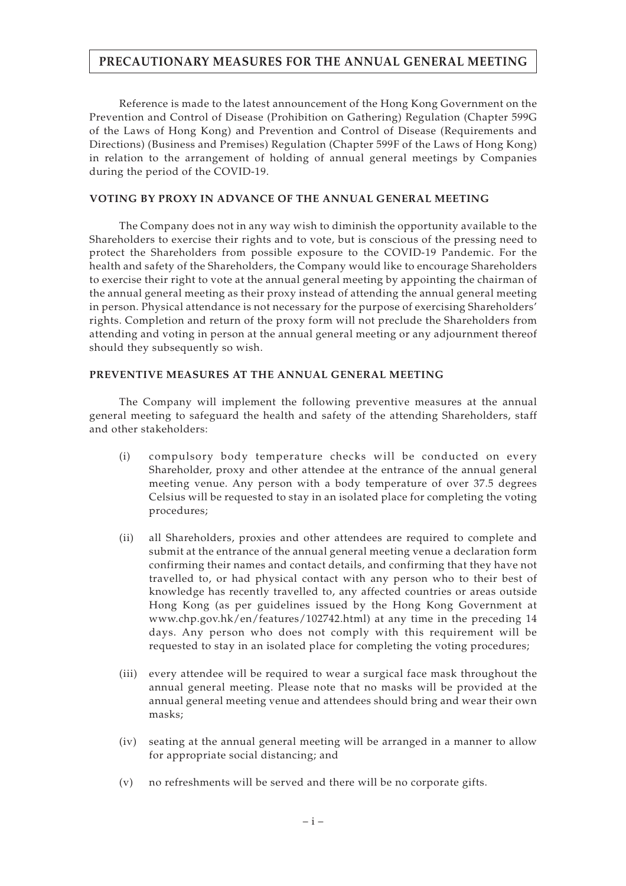### **PRECAUTIONARY MEASURES FOR THE ANNUAL GENERAL MEETING**

Reference is made to the latest announcement of the Hong Kong Government on the Prevention and Control of Disease (Prohibition on Gathering) Regulation (Chapter 599G of the Laws of Hong Kong) and Prevention and Control of Disease (Requirements and Directions) (Business and Premises) Regulation (Chapter 599F of the Laws of Hong Kong) in relation to the arrangement of holding of annual general meetings by Companies during the period of the COVID-19.

### **VOTING BY PROXY IN ADVANCE OF THE ANNUAL GENERAL MEETING**

The Company does not in any way wish to diminish the opportunity available to the Shareholders to exercise their rights and to vote, but is conscious of the pressing need to protect the Shareholders from possible exposure to the COVID-19 Pandemic. For the health and safety of the Shareholders, the Company would like to encourage Shareholders to exercise their right to vote at the annual general meeting by appointing the chairman of the annual general meeting as their proxy instead of attending the annual general meeting in person. Physical attendance is not necessary for the purpose of exercising Shareholders' rights. Completion and return of the proxy form will not preclude the Shareholders from attending and voting in person at the annual general meeting or any adjournment thereof should they subsequently so wish.

### **PREVENTIVE MEASURES AT THE ANNUAL GENERAL MEETING**

The Company will implement the following preventive measures at the annual general meeting to safeguard the health and safety of the attending Shareholders, staff and other stakeholders:

- (i) compulsory body temperature checks will be conducted on every Shareholder, proxy and other attendee at the entrance of the annual general meeting venue. Any person with a body temperature of over 37.5 degrees Celsius will be requested to stay in an isolated place for completing the voting procedures;
- (ii) all Shareholders, proxies and other attendees are required to complete and submit at the entrance of the annual general meeting venue a declaration form confirming their names and contact details, and confirming that they have not travelled to, or had physical contact with any person who to their best of knowledge has recently travelled to, any affected countries or areas outside Hong Kong (as per guidelines issued by the Hong Kong Government at www.chp.gov.hk/en/features/102742.html) at any time in the preceding 14 days. Any person who does not comply with this requirement will be requested to stay in an isolated place for completing the voting procedures;
- (iii) every attendee will be required to wear a surgical face mask throughout the annual general meeting. Please note that no masks will be provided at the annual general meeting venue and attendees should bring and wear their own masks;
- (iv) seating at the annual general meeting will be arranged in a manner to allow for appropriate social distancing; and
- (v) no refreshments will be served and there will be no corporate gifts.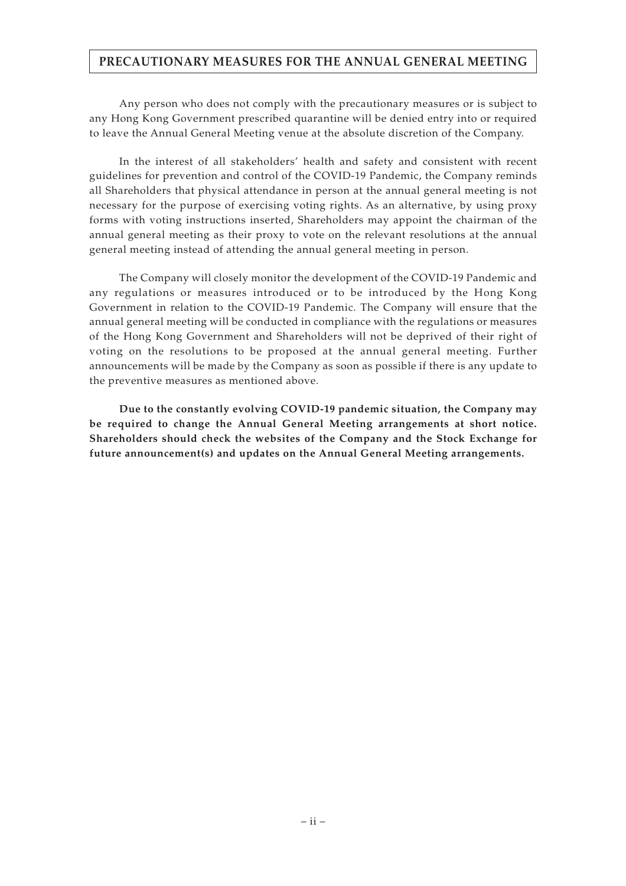### **PRECAUTIONARY MEASURES FOR THE ANNUAL GENERAL MEETING**

Any person who does not comply with the precautionary measures or is subject to any Hong Kong Government prescribed quarantine will be denied entry into or required to leave the Annual General Meeting venue at the absolute discretion of the Company.

In the interest of all stakeholders' health and safety and consistent with recent guidelines for prevention and control of the COVID-19 Pandemic, the Company reminds all Shareholders that physical attendance in person at the annual general meeting is not necessary for the purpose of exercising voting rights. As an alternative, by using proxy forms with voting instructions inserted, Shareholders may appoint the chairman of the annual general meeting as their proxy to vote on the relevant resolutions at the annual general meeting instead of attending the annual general meeting in person.

The Company will closely monitor the development of the COVID-19 Pandemic and any regulations or measures introduced or to be introduced by the Hong Kong Government in relation to the COVID-19 Pandemic. The Company will ensure that the annual general meeting will be conducted in compliance with the regulations or measures of the Hong Kong Government and Shareholders will not be deprived of their right of voting on the resolutions to be proposed at the annual general meeting. Further announcements will be made by the Company as soon as possible if there is any update to the preventive measures as mentioned above.

**Due to the constantly evolving COVID-19 pandemic situation, the Company may be required to change the Annual General Meeting arrangements at short notice. Shareholders should check the websites of the Company and the Stock Exchange for future announcement(s) and updates on the Annual General Meeting arrangements.**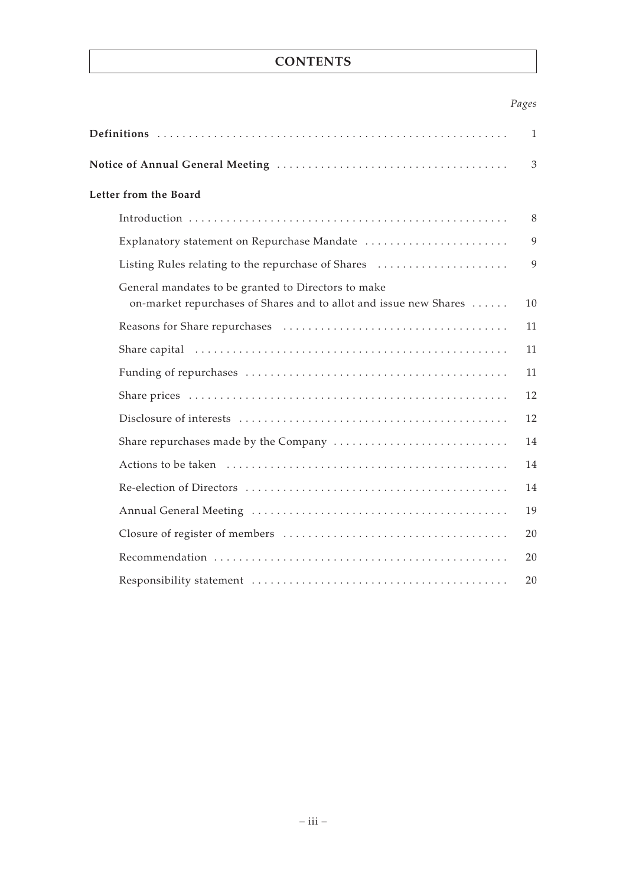## **CONTENTS**

### *Pages*

|                                                                                                                          | 1  |
|--------------------------------------------------------------------------------------------------------------------------|----|
|                                                                                                                          | 3  |
| Letter from the Board                                                                                                    |    |
|                                                                                                                          | 8  |
| Explanatory statement on Repurchase Mandate                                                                              | 9  |
| Listing Rules relating to the repurchase of Shares                                                                       | 9  |
| General mandates to be granted to Directors to make<br>on-market repurchases of Shares and to allot and issue new Shares | 10 |
|                                                                                                                          | 11 |
|                                                                                                                          | 11 |
|                                                                                                                          | 11 |
|                                                                                                                          | 12 |
|                                                                                                                          | 12 |
|                                                                                                                          | 14 |
|                                                                                                                          | 14 |
|                                                                                                                          | 14 |
|                                                                                                                          | 19 |
|                                                                                                                          | 20 |
|                                                                                                                          | 20 |
|                                                                                                                          | 20 |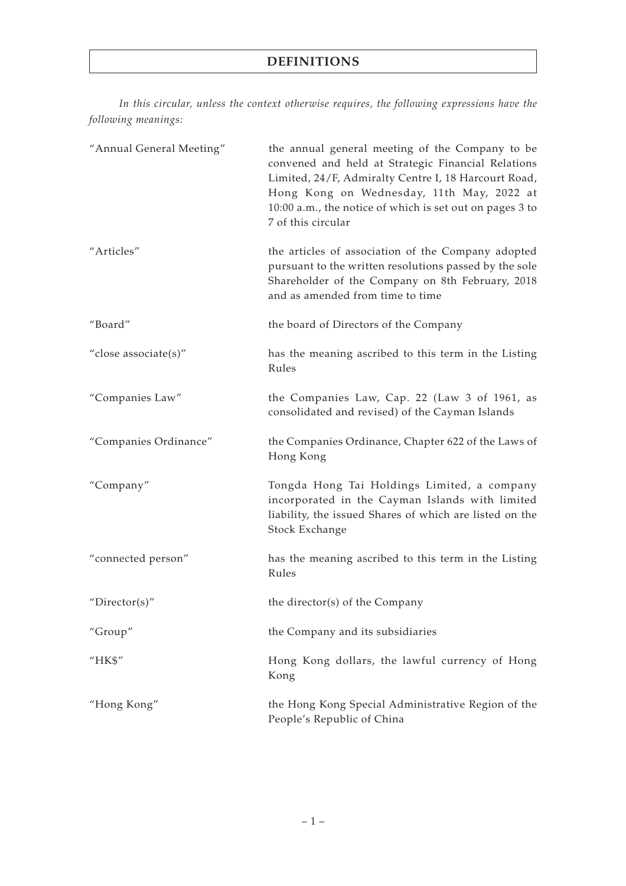## **DEFINITIONS**

*In this circular, unless the context otherwise requires, the following expressions have the following meanings:*

| "Annual General Meeting" | the annual general meeting of the Company to be<br>convened and held at Strategic Financial Relations<br>Limited, 24/F, Admiralty Centre I, 18 Harcourt Road,<br>Hong Kong on Wednesday, 11th May, 2022 at<br>10:00 a.m., the notice of which is set out on pages 3 to<br>7 of this circular |
|--------------------------|----------------------------------------------------------------------------------------------------------------------------------------------------------------------------------------------------------------------------------------------------------------------------------------------|
| "Articles"               | the articles of association of the Company adopted<br>pursuant to the written resolutions passed by the sole<br>Shareholder of the Company on 8th February, 2018<br>and as amended from time to time                                                                                         |
| "Board"                  | the board of Directors of the Company                                                                                                                                                                                                                                                        |
| "close associate(s)"     | has the meaning ascribed to this term in the Listing<br>Rules                                                                                                                                                                                                                                |
| "Companies Law"          | the Companies Law, Cap. 22 (Law 3 of 1961, as<br>consolidated and revised) of the Cayman Islands                                                                                                                                                                                             |
| "Companies Ordinance"    | the Companies Ordinance, Chapter 622 of the Laws of<br>Hong Kong                                                                                                                                                                                                                             |
| "Company"                | Tongda Hong Tai Holdings Limited, a company<br>incorporated in the Cayman Islands with limited<br>liability, the issued Shares of which are listed on the<br>Stock Exchange                                                                                                                  |
| "connected person"       | has the meaning ascribed to this term in the Listing<br>Rules                                                                                                                                                                                                                                |
| " $Directory$            | the director(s) of the Company                                                                                                                                                                                                                                                               |
| "Group"                  | the Company and its subsidiaries                                                                                                                                                                                                                                                             |
| "HK\$"                   | Hong Kong dollars, the lawful currency of Hong<br>Kong                                                                                                                                                                                                                                       |
| "Hong Kong"              | the Hong Kong Special Administrative Region of the<br>People's Republic of China                                                                                                                                                                                                             |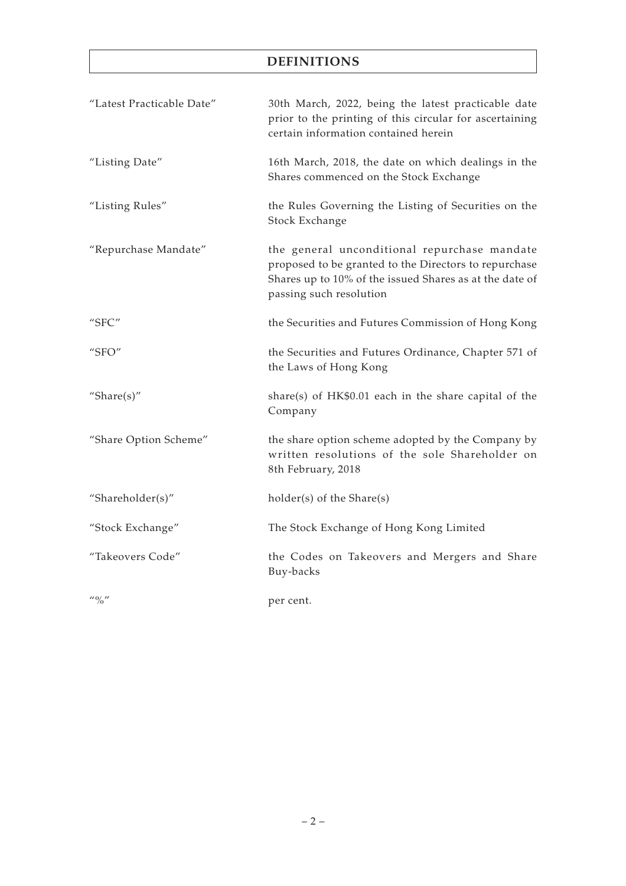## **DEFINITIONS**

| "Latest Practicable Date"               | 30th March, 2022, being the latest practicable date<br>prior to the printing of this circular for ascertaining<br>certain information contained herein                                      |
|-----------------------------------------|---------------------------------------------------------------------------------------------------------------------------------------------------------------------------------------------|
| "Listing Date"                          | 16th March, 2018, the date on which dealings in the<br>Shares commenced on the Stock Exchange                                                                                               |
| "Listing Rules"                         | the Rules Governing the Listing of Securities on the<br>Stock Exchange                                                                                                                      |
| "Repurchase Mandate"                    | the general unconditional repurchase mandate<br>proposed to be granted to the Directors to repurchase<br>Shares up to 10% of the issued Shares as at the date of<br>passing such resolution |
| "SFC"                                   | the Securities and Futures Commission of Hong Kong                                                                                                                                          |
| $^{\prime\prime}$ SFO $^{\prime\prime}$ | the Securities and Futures Ordinance, Chapter 571 of<br>the Laws of Hong Kong                                                                                                               |
| "Share $(s)$ "                          | share(s) of $HK$0.01$ each in the share capital of the<br>Company                                                                                                                           |
| "Share Option Scheme"                   | the share option scheme adopted by the Company by<br>written resolutions of the sole Shareholder on<br>8th February, 2018                                                                   |
| "Shareholder(s)"                        | holder(s) of the Share(s)                                                                                                                                                                   |
| "Stock Exchange"                        | The Stock Exchange of Hong Kong Limited                                                                                                                                                     |
| "Takeovers Code"                        | the Codes on Takeovers and Mergers and Share<br>Buy-backs                                                                                                                                   |
| $^{\prime\prime}$ % $^{\prime\prime}$   | per cent.                                                                                                                                                                                   |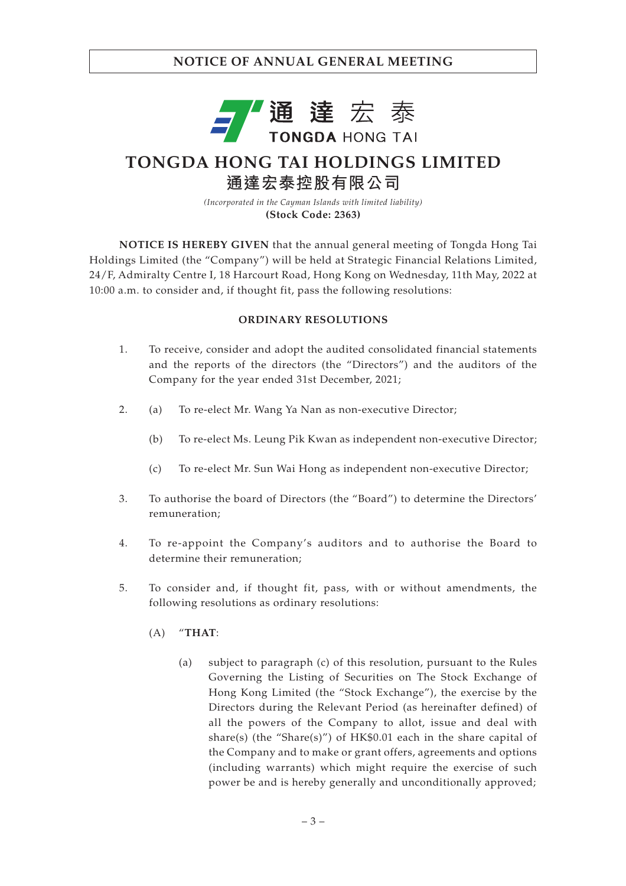

# **TONGDA HONG TAI HOLDINGS LIMITED 通達宏泰控股有限公司**

*(Incorporated in the Cayman Islands with limited liability)* **(Stock Code: 2363)**

**NOTICE IS HEREBY GIVEN** that the annual general meeting of Tongda Hong Tai Holdings Limited (the "Company") will be held at Strategic Financial Relations Limited, 24/F, Admiralty Centre I, 18 Harcourt Road, Hong Kong on Wednesday, 11th May, 2022 at 10:00 a.m. to consider and, if thought fit, pass the following resolutions:

### **ORDINARY RESOLUTIONS**

- 1. To receive, consider and adopt the audited consolidated financial statements and the reports of the directors (the "Directors") and the auditors of the Company for the year ended 31st December, 2021;
- 2. (a) To re-elect Mr. Wang Ya Nan as non-executive Director;
	- (b) To re-elect Ms. Leung Pik Kwan as independent non-executive Director;
	- (c) To re-elect Mr. Sun Wai Hong as independent non-executive Director;
- 3. To authorise the board of Directors (the "Board") to determine the Directors' remuneration;
- 4. To re-appoint the Company's auditors and to authorise the Board to determine their remuneration;
- 5. To consider and, if thought fit, pass, with or without amendments, the following resolutions as ordinary resolutions:
	- (A) "**THAT**:
		- (a) subject to paragraph (c) of this resolution, pursuant to the Rules Governing the Listing of Securities on The Stock Exchange of Hong Kong Limited (the "Stock Exchange"), the exercise by the Directors during the Relevant Period (as hereinafter defined) of all the powers of the Company to allot, issue and deal with share(s) (the "Share(s)") of HK\$0.01 each in the share capital of the Company and to make or grant offers, agreements and options (including warrants) which might require the exercise of such power be and is hereby generally and unconditionally approved;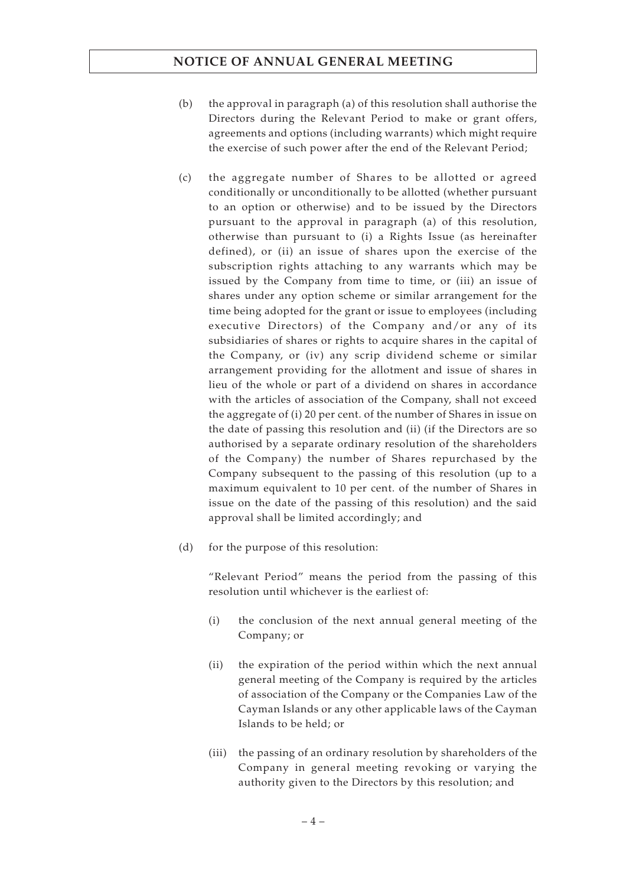- (b) the approval in paragraph (a) of this resolution shall authorise the Directors during the Relevant Period to make or grant offers, agreements and options (including warrants) which might require the exercise of such power after the end of the Relevant Period;
- (c) the aggregate number of Shares to be allotted or agreed conditionally or unconditionally to be allotted (whether pursuant to an option or otherwise) and to be issued by the Directors pursuant to the approval in paragraph (a) of this resolution, otherwise than pursuant to (i) a Rights Issue (as hereinafter defined), or (ii) an issue of shares upon the exercise of the subscription rights attaching to any warrants which may be issued by the Company from time to time, or (iii) an issue of shares under any option scheme or similar arrangement for the time being adopted for the grant or issue to employees (including executive Directors) of the Company and/or any of its subsidiaries of shares or rights to acquire shares in the capital of the Company, or (iv) any scrip dividend scheme or similar arrangement providing for the allotment and issue of shares in lieu of the whole or part of a dividend on shares in accordance with the articles of association of the Company, shall not exceed the aggregate of (i) 20 per cent. of the number of Shares in issue on the date of passing this resolution and (ii) (if the Directors are so authorised by a separate ordinary resolution of the shareholders of the Company) the number of Shares repurchased by the Company subsequent to the passing of this resolution (up to a maximum equivalent to 10 per cent. of the number of Shares in issue on the date of the passing of this resolution) and the said approval shall be limited accordingly; and
- (d) for the purpose of this resolution:

"Relevant Period" means the period from the passing of this resolution until whichever is the earliest of:

- (i) the conclusion of the next annual general meeting of the Company; or
- (ii) the expiration of the period within which the next annual general meeting of the Company is required by the articles of association of the Company or the Companies Law of the Cayman Islands or any other applicable laws of the Cayman Islands to be held; or
- (iii) the passing of an ordinary resolution by shareholders of the Company in general meeting revoking or varying the authority given to the Directors by this resolution; and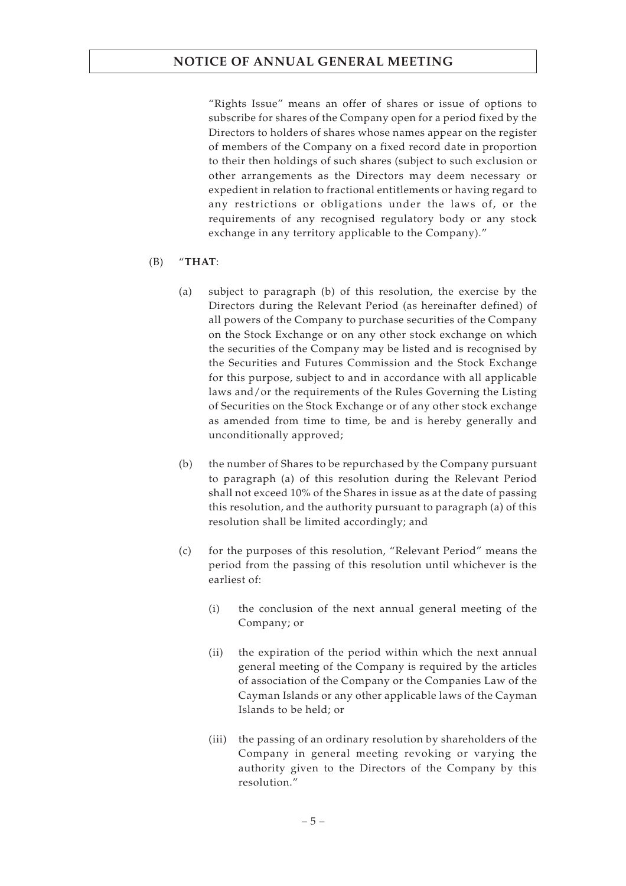"Rights Issue" means an offer of shares or issue of options to subscribe for shares of the Company open for a period fixed by the Directors to holders of shares whose names appear on the register of members of the Company on a fixed record date in proportion to their then holdings of such shares (subject to such exclusion or other arrangements as the Directors may deem necessary or expedient in relation to fractional entitlements or having regard to any restrictions or obligations under the laws of, or the requirements of any recognised regulatory body or any stock exchange in any territory applicable to the Company)."

### (B) "**THAT**:

- (a) subject to paragraph (b) of this resolution, the exercise by the Directors during the Relevant Period (as hereinafter defined) of all powers of the Company to purchase securities of the Company on the Stock Exchange or on any other stock exchange on which the securities of the Company may be listed and is recognised by the Securities and Futures Commission and the Stock Exchange for this purpose, subject to and in accordance with all applicable laws and/or the requirements of the Rules Governing the Listing of Securities on the Stock Exchange or of any other stock exchange as amended from time to time, be and is hereby generally and unconditionally approved;
- (b) the number of Shares to be repurchased by the Company pursuant to paragraph (a) of this resolution during the Relevant Period shall not exceed 10% of the Shares in issue as at the date of passing this resolution, and the authority pursuant to paragraph (a) of this resolution shall be limited accordingly; and
- (c) for the purposes of this resolution, "Relevant Period" means the period from the passing of this resolution until whichever is the earliest of:
	- (i) the conclusion of the next annual general meeting of the Company; or
	- (ii) the expiration of the period within which the next annual general meeting of the Company is required by the articles of association of the Company or the Companies Law of the Cayman Islands or any other applicable laws of the Cayman Islands to be held; or
	- (iii) the passing of an ordinary resolution by shareholders of the Company in general meeting revoking or varying the authority given to the Directors of the Company by this resolution."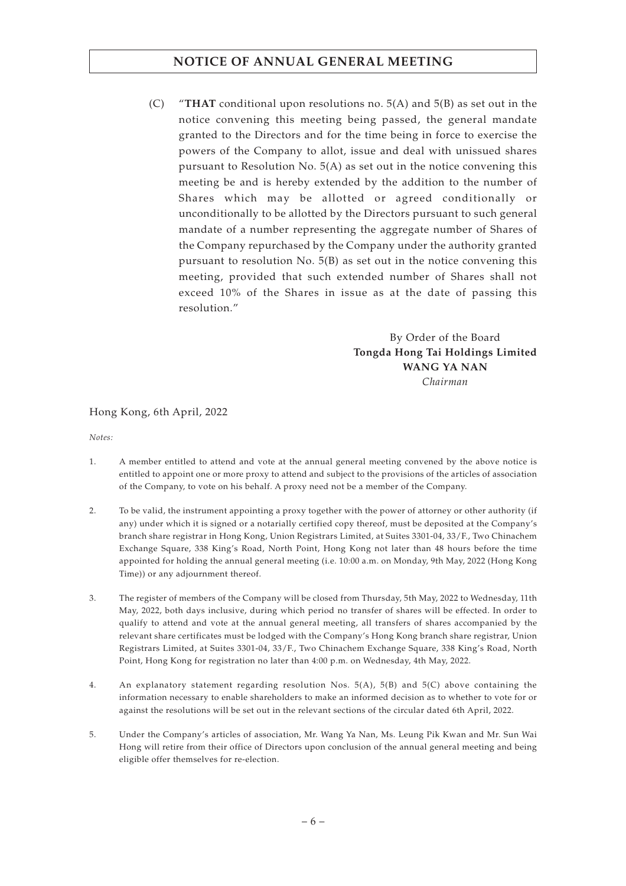(C) "**THAT** conditional upon resolutions no. 5(A) and 5(B) as set out in the notice convening this meeting being passed, the general mandate granted to the Directors and for the time being in force to exercise the powers of the Company to allot, issue and deal with unissued shares pursuant to Resolution No. 5(A) as set out in the notice convening this meeting be and is hereby extended by the addition to the number of Shares which may be allotted or agreed conditionally or unconditionally to be allotted by the Directors pursuant to such general mandate of a number representing the aggregate number of Shares of the Company repurchased by the Company under the authority granted pursuant to resolution No. 5(B) as set out in the notice convening this meeting, provided that such extended number of Shares shall not exceed 10% of the Shares in issue as at the date of passing this resolution."

### By Order of the Board **Tongda Hong Tai Holdings Limited WANG YA NAN** *Chairman*

### Hong Kong, 6th April, 2022

*Notes:*

- 1. A member entitled to attend and vote at the annual general meeting convened by the above notice is entitled to appoint one or more proxy to attend and subject to the provisions of the articles of association of the Company, to vote on his behalf. A proxy need not be a member of the Company.
- 2. To be valid, the instrument appointing a proxy together with the power of attorney or other authority (if any) under which it is signed or a notarially certified copy thereof, must be deposited at the Company's branch share registrar in Hong Kong, Union Registrars Limited, at Suites 3301-04, 33/F., Two Chinachem Exchange Square, 338 King's Road, North Point, Hong Kong not later than 48 hours before the time appointed for holding the annual general meeting (i.e. 10:00 a.m. on Monday, 9th May, 2022 (Hong Kong Time)) or any adjournment thereof.
- 3. The register of members of the Company will be closed from Thursday, 5th May, 2022 to Wednesday, 11th May, 2022, both days inclusive, during which period no transfer of shares will be effected. In order to qualify to attend and vote at the annual general meeting, all transfers of shares accompanied by the relevant share certificates must be lodged with the Company's Hong Kong branch share registrar, Union Registrars Limited, at Suites 3301-04, 33/F., Two Chinachem Exchange Square, 338 King's Road, North Point, Hong Kong for registration no later than 4:00 p.m. on Wednesday, 4th May, 2022.
- 4. An explanatory statement regarding resolution Nos. 5(A), 5(B) and 5(C) above containing the information necessary to enable shareholders to make an informed decision as to whether to vote for or against the resolutions will be set out in the relevant sections of the circular dated 6th April, 2022.
- 5. Under the Company's articles of association, Mr. Wang Ya Nan, Ms. Leung Pik Kwan and Mr. Sun Wai Hong will retire from their office of Directors upon conclusion of the annual general meeting and being eligible offer themselves for re-election.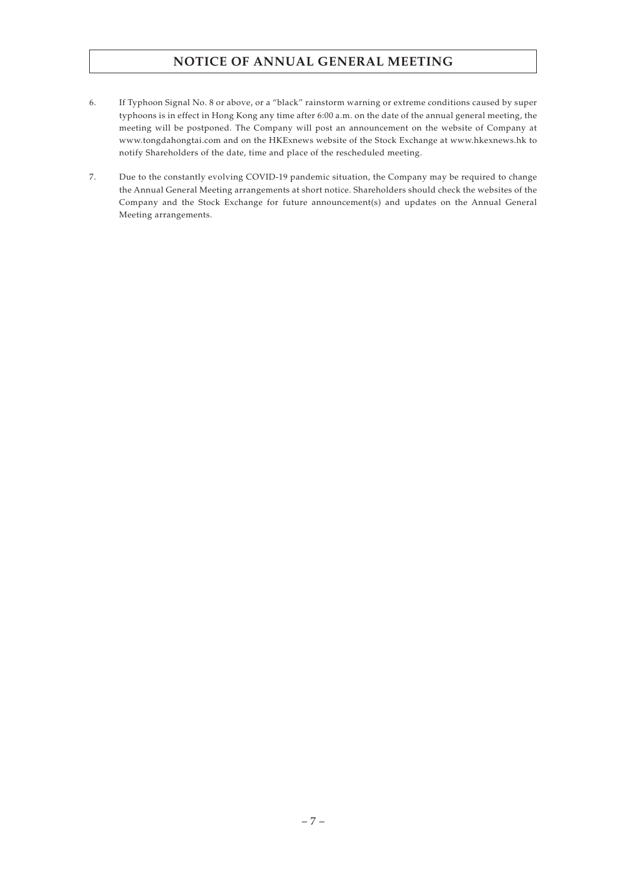- 6. If Typhoon Signal No. 8 or above, or a "black" rainstorm warning or extreme conditions caused by super typhoons is in effect in Hong Kong any time after 6:00 a.m. on the date of the annual general meeting, the meeting will be postponed. The Company will post an announcement on the website of Company at www.tongdahongtai.com and on the HKExnews website of the Stock Exchange at www.hkexnews.hk to notify Shareholders of the date, time and place of the rescheduled meeting.
- 7. Due to the constantly evolving COVID-19 pandemic situation, the Company may be required to change the Annual General Meeting arrangements at short notice. Shareholders should check the websites of the Company and the Stock Exchange for future announcement(s) and updates on the Annual General Meeting arrangements.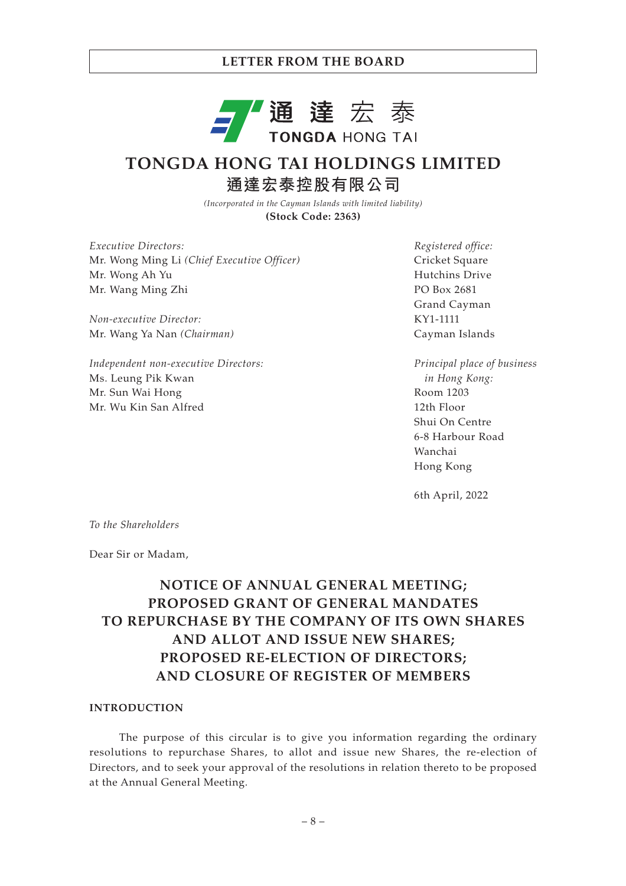

# **TONGDA HONG TAI HOLDINGS LIMITED 通達宏泰控股有限公司**

*(Incorporated in the Cayman Islands with limited liability)* **(Stock Code: 2363)**

*Executive Directors:* Mr. Wong Ming Li *(Chief Executive Officer)* Mr. Wong Ah Yu Mr. Wang Ming Zhi

*Non-executive Director:* Mr. Wang Ya Nan *(Chairman)*

*Independent non-executive Directors:* Ms. Leung Pik Kwan Mr. Sun Wai Hong Mr. Wu Kin San Alfred

*Registered office:* Cricket Square Hutchins Drive PO Box 2681 Grand Cayman KY1-1111 Cayman Islands

*Principal place of business in Hong Kong:* Room 1203 12th Floor Shui On Centre 6-8 Harbour Road Wanchai Hong Kong

6th April, 2022

*To the Shareholders*

Dear Sir or Madam,

# **NOTICE OF ANNUAL GENERAL MEETING; PROPOSED GRANT OF GENERAL MANDATES TO REPURCHASE BY THE COMPANY OF ITS OWN SHARES AND ALLOT AND ISSUE NEW SHARES; PROPOSED RE-ELECTION OF DIRECTORS; AND CLOSURE OF REGISTER OF MEMBERS**

### **INTRODUCTION**

The purpose of this circular is to give you information regarding the ordinary resolutions to repurchase Shares, to allot and issue new Shares, the re-election of Directors, and to seek your approval of the resolutions in relation thereto to be proposed at the Annual General Meeting.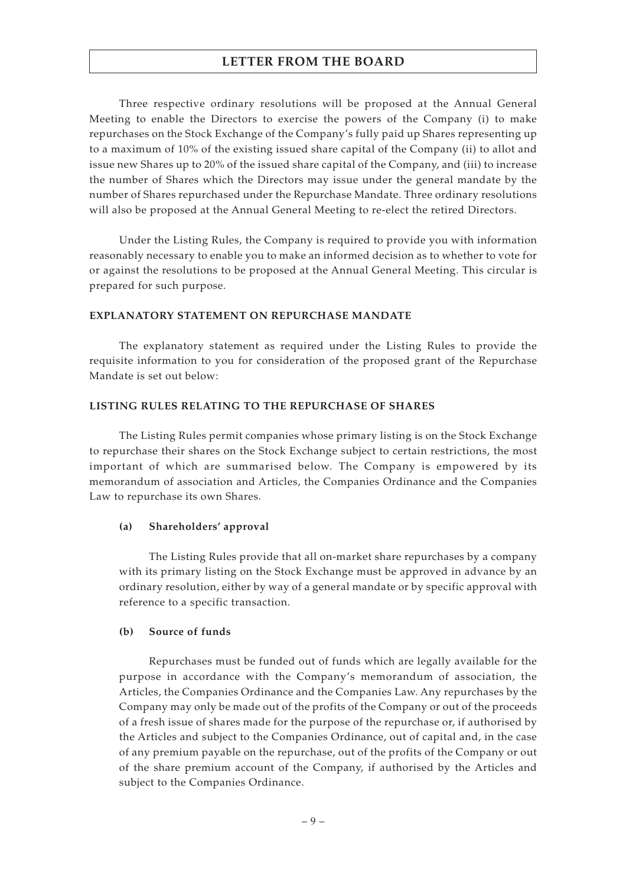Three respective ordinary resolutions will be proposed at the Annual General Meeting to enable the Directors to exercise the powers of the Company (i) to make repurchases on the Stock Exchange of the Company's fully paid up Shares representing up to a maximum of 10% of the existing issued share capital of the Company (ii) to allot and issue new Shares up to 20% of the issued share capital of the Company, and (iii) to increase the number of Shares which the Directors may issue under the general mandate by the number of Shares repurchased under the Repurchase Mandate. Three ordinary resolutions will also be proposed at the Annual General Meeting to re-elect the retired Directors.

Under the Listing Rules, the Company is required to provide you with information reasonably necessary to enable you to make an informed decision as to whether to vote for or against the resolutions to be proposed at the Annual General Meeting. This circular is prepared for such purpose.

### **EXPLANATORY STATEMENT ON REPURCHASE MANDATE**

The explanatory statement as required under the Listing Rules to provide the requisite information to you for consideration of the proposed grant of the Repurchase Mandate is set out below:

### **LISTING RULES RELATING TO THE REPURCHASE OF SHARES**

The Listing Rules permit companies whose primary listing is on the Stock Exchange to repurchase their shares on the Stock Exchange subject to certain restrictions, the most important of which are summarised below. The Company is empowered by its memorandum of association and Articles, the Companies Ordinance and the Companies Law to repurchase its own Shares.

### **(a) Shareholders' approval**

The Listing Rules provide that all on-market share repurchases by a company with its primary listing on the Stock Exchange must be approved in advance by an ordinary resolution, either by way of a general mandate or by specific approval with reference to a specific transaction.

### **(b) Source of funds**

Repurchases must be funded out of funds which are legally available for the purpose in accordance with the Company's memorandum of association, the Articles, the Companies Ordinance and the Companies Law. Any repurchases by the Company may only be made out of the profits of the Company or out of the proceeds of a fresh issue of shares made for the purpose of the repurchase or, if authorised by the Articles and subject to the Companies Ordinance, out of capital and, in the case of any premium payable on the repurchase, out of the profits of the Company or out of the share premium account of the Company, if authorised by the Articles and subject to the Companies Ordinance.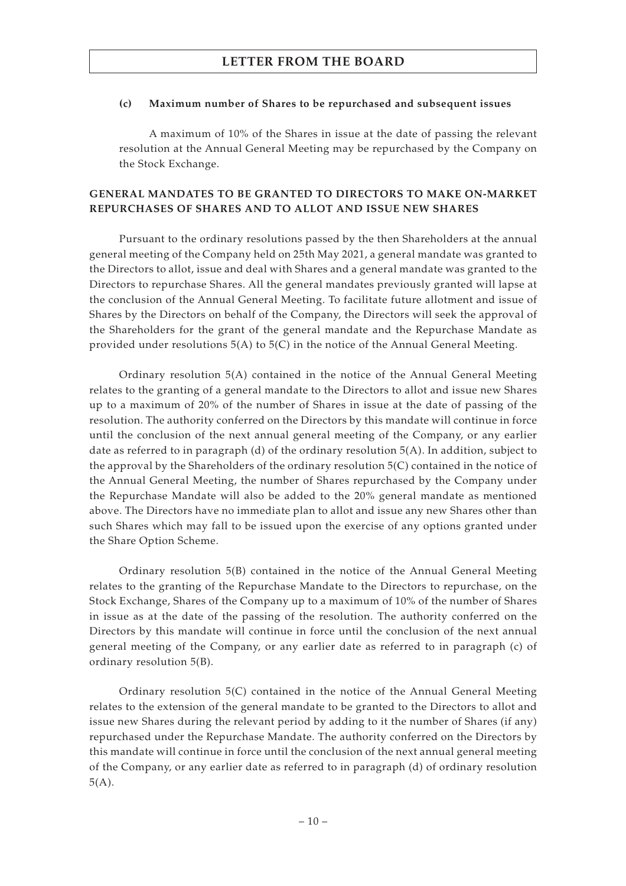### **(c) Maximum number of Shares to be repurchased and subsequent issues**

A maximum of 10% of the Shares in issue at the date of passing the relevant resolution at the Annual General Meeting may be repurchased by the Company on the Stock Exchange.

### **GENERAL MANDATES TO BE GRANTED TO DIRECTORS TO MAKE ON-MARKET REPURCHASES OF SHARES AND TO ALLOT AND ISSUE NEW SHARES**

Pursuant to the ordinary resolutions passed by the then Shareholders at the annual general meeting of the Company held on 25th May 2021, a general mandate was granted to the Directors to allot, issue and deal with Shares and a general mandate was granted to the Directors to repurchase Shares. All the general mandates previously granted will lapse at the conclusion of the Annual General Meeting. To facilitate future allotment and issue of Shares by the Directors on behalf of the Company, the Directors will seek the approval of the Shareholders for the grant of the general mandate and the Repurchase Mandate as provided under resolutions 5(A) to 5(C) in the notice of the Annual General Meeting.

Ordinary resolution 5(A) contained in the notice of the Annual General Meeting relates to the granting of a general mandate to the Directors to allot and issue new Shares up to a maximum of 20% of the number of Shares in issue at the date of passing of the resolution. The authority conferred on the Directors by this mandate will continue in force until the conclusion of the next annual general meeting of the Company, or any earlier date as referred to in paragraph (d) of the ordinary resolution 5(A). In addition, subject to the approval by the Shareholders of the ordinary resolution 5(C) contained in the notice of the Annual General Meeting, the number of Shares repurchased by the Company under the Repurchase Mandate will also be added to the 20% general mandate as mentioned above. The Directors have no immediate plan to allot and issue any new Shares other than such Shares which may fall to be issued upon the exercise of any options granted under the Share Option Scheme.

Ordinary resolution 5(B) contained in the notice of the Annual General Meeting relates to the granting of the Repurchase Mandate to the Directors to repurchase, on the Stock Exchange, Shares of the Company up to a maximum of 10% of the number of Shares in issue as at the date of the passing of the resolution. The authority conferred on the Directors by this mandate will continue in force until the conclusion of the next annual general meeting of the Company, or any earlier date as referred to in paragraph (c) of ordinary resolution 5(B).

Ordinary resolution 5(C) contained in the notice of the Annual General Meeting relates to the extension of the general mandate to be granted to the Directors to allot and issue new Shares during the relevant period by adding to it the number of Shares (if any) repurchased under the Repurchase Mandate. The authority conferred on the Directors by this mandate will continue in force until the conclusion of the next annual general meeting of the Company, or any earlier date as referred to in paragraph (d) of ordinary resolution 5(A).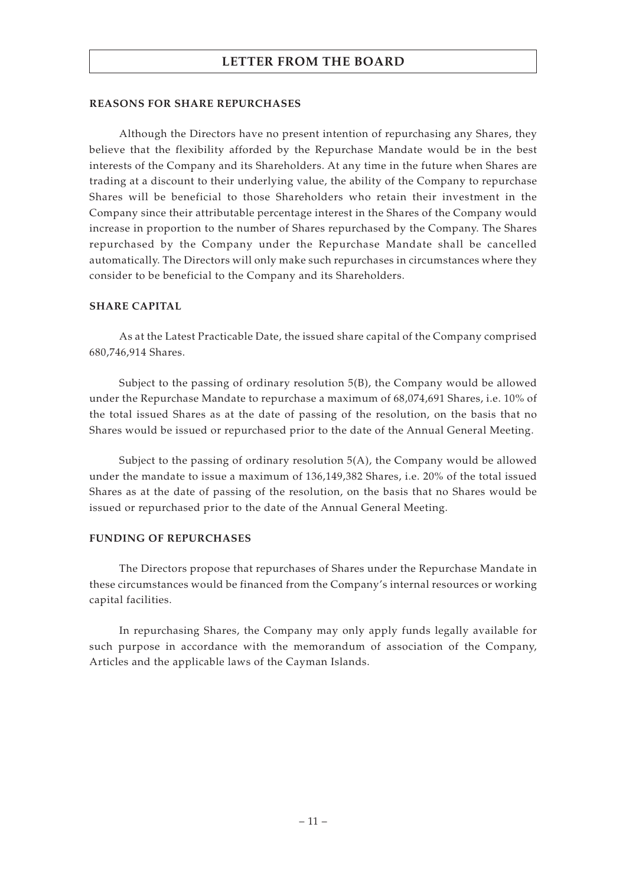#### **REASONS FOR SHARE REPURCHASES**

Although the Directors have no present intention of repurchasing any Shares, they believe that the flexibility afforded by the Repurchase Mandate would be in the best interests of the Company and its Shareholders. At any time in the future when Shares are trading at a discount to their underlying value, the ability of the Company to repurchase Shares will be beneficial to those Shareholders who retain their investment in the Company since their attributable percentage interest in the Shares of the Company would increase in proportion to the number of Shares repurchased by the Company. The Shares repurchased by the Company under the Repurchase Mandate shall be cancelled automatically. The Directors will only make such repurchases in circumstances where they consider to be beneficial to the Company and its Shareholders.

### **SHARE CAPITAL**

As at the Latest Practicable Date, the issued share capital of the Company comprised 680,746,914 Shares.

Subject to the passing of ordinary resolution 5(B), the Company would be allowed under the Repurchase Mandate to repurchase a maximum of 68,074,691 Shares, i.e. 10% of the total issued Shares as at the date of passing of the resolution, on the basis that no Shares would be issued or repurchased prior to the date of the Annual General Meeting.

Subject to the passing of ordinary resolution 5(A), the Company would be allowed under the mandate to issue a maximum of 136,149,382 Shares, i.e. 20% of the total issued Shares as at the date of passing of the resolution, on the basis that no Shares would be issued or repurchased prior to the date of the Annual General Meeting.

#### **FUNDING OF REPURCHASES**

The Directors propose that repurchases of Shares under the Repurchase Mandate in these circumstances would be financed from the Company's internal resources or working capital facilities.

In repurchasing Shares, the Company may only apply funds legally available for such purpose in accordance with the memorandum of association of the Company, Articles and the applicable laws of the Cayman Islands.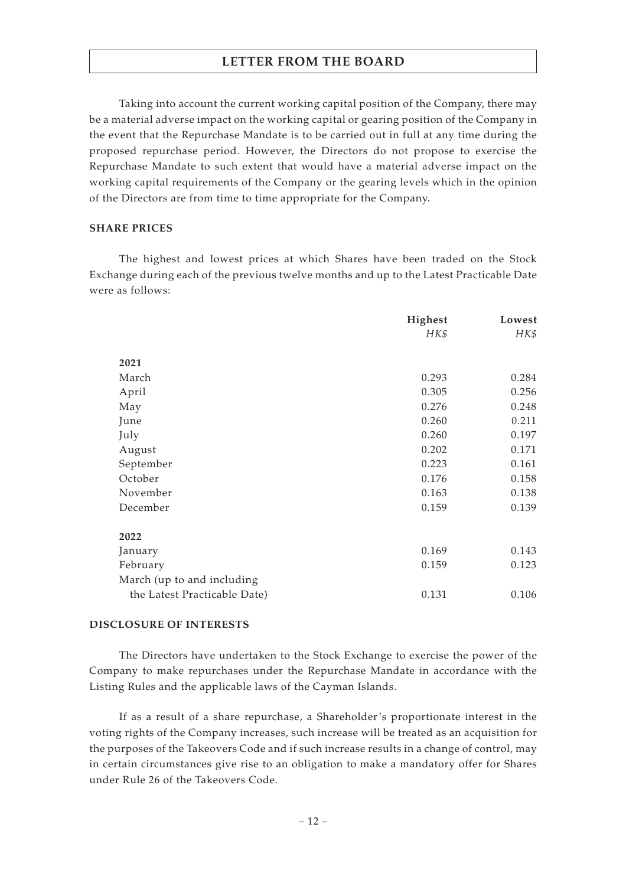Taking into account the current working capital position of the Company, there may be a material adverse impact on the working capital or gearing position of the Company in the event that the Repurchase Mandate is to be carried out in full at any time during the proposed repurchase period. However, the Directors do not propose to exercise the Repurchase Mandate to such extent that would have a material adverse impact on the working capital requirements of the Company or the gearing levels which in the opinion of the Directors are from time to time appropriate for the Company.

#### **SHARE PRICES**

The highest and lowest prices at which Shares have been traded on the Stock Exchange during each of the previous twelve months and up to the Latest Practicable Date were as follows:

|                              | Highest | Lowest |
|------------------------------|---------|--------|
|                              | HK\$    | HK\$   |
| 2021                         |         |        |
| March                        | 0.293   | 0.284  |
| April                        | 0.305   | 0.256  |
| May                          | 0.276   | 0.248  |
| June                         | 0.260   | 0.211  |
| July                         | 0.260   | 0.197  |
| August                       | 0.202   | 0.171  |
| September                    | 0.223   | 0.161  |
| October                      | 0.176   | 0.158  |
| November                     | 0.163   | 0.138  |
| December                     | 0.159   | 0.139  |
| 2022                         |         |        |
| January                      | 0.169   | 0.143  |
| February                     | 0.159   | 0.123  |
| March (up to and including   |         |        |
| the Latest Practicable Date) | 0.131   | 0.106  |

#### **DISCLOSURE OF INTERESTS**

The Directors have undertaken to the Stock Exchange to exercise the power of the Company to make repurchases under the Repurchase Mandate in accordance with the Listing Rules and the applicable laws of the Cayman Islands.

If as a result of a share repurchase, a Shareholder's proportionate interest in the voting rights of the Company increases, such increase will be treated as an acquisition for the purposes of the Takeovers Code and if such increase results in a change of control, may in certain circumstances give rise to an obligation to make a mandatory offer for Shares under Rule 26 of the Takeovers Code.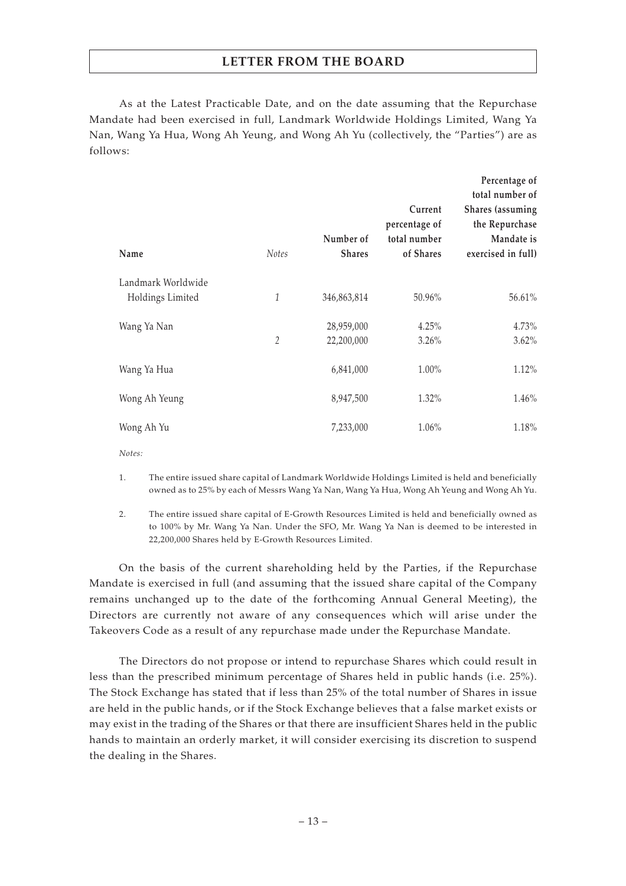As at the Latest Practicable Date, and on the date assuming that the Repurchase Mandate had been exercised in full, Landmark Worldwide Holdings Limited, Wang Ya Nan, Wang Ya Hua, Wong Ah Yeung, and Wong Ah Yu (collectively, the "Parties") are as follows:

| Name                                   | <b>Notes</b> | Number of<br><b>Shares</b> | Current<br>percentage of<br>total number<br>of Shares | Percentage of<br>total number of<br><b>Shares</b> (assuming<br>the Repurchase<br>Mandate is<br>exercised in full) |
|----------------------------------------|--------------|----------------------------|-------------------------------------------------------|-------------------------------------------------------------------------------------------------------------------|
| Landmark Worldwide<br>Holdings Limited | 1            | 346,863,814                | 50.96%                                                | 56.61%                                                                                                            |
| Wang Ya Nan                            | 2            | 28,959,000<br>22,200,000   | 4.25%<br>3.26%                                        | 4.73%<br>$3.62\%$                                                                                                 |
| Wang Ya Hua                            |              | 6,841,000                  | $1.00\%$                                              | 1.12%                                                                                                             |
| Wong Ah Yeung                          |              | 8,947,500                  | 1.32%                                                 | $1.46\%$                                                                                                          |
| Wong Ah Yu                             |              | 7,233,000                  | $1.06\%$                                              | 1.18%                                                                                                             |
|                                        |              |                            |                                                       |                                                                                                                   |

*Notes:*

1. The entire issued share capital of Landmark Worldwide Holdings Limited is held and beneficially owned as to 25% by each of Messrs Wang Ya Nan, Wang Ya Hua, Wong Ah Yeung and Wong Ah Yu.

2. The entire issued share capital of E-Growth Resources Limited is held and beneficially owned as to 100% by Mr. Wang Ya Nan. Under the SFO, Mr. Wang Ya Nan is deemed to be interested in 22,200,000 Shares held by E-Growth Resources Limited.

On the basis of the current shareholding held by the Parties, if the Repurchase Mandate is exercised in full (and assuming that the issued share capital of the Company remains unchanged up to the date of the forthcoming Annual General Meeting), the Directors are currently not aware of any consequences which will arise under the Takeovers Code as a result of any repurchase made under the Repurchase Mandate.

The Directors do not propose or intend to repurchase Shares which could result in less than the prescribed minimum percentage of Shares held in public hands (i.e. 25%). The Stock Exchange has stated that if less than 25% of the total number of Shares in issue are held in the public hands, or if the Stock Exchange believes that a false market exists or may exist in the trading of the Shares or that there are insufficient Shares held in the public hands to maintain an orderly market, it will consider exercising its discretion to suspend the dealing in the Shares.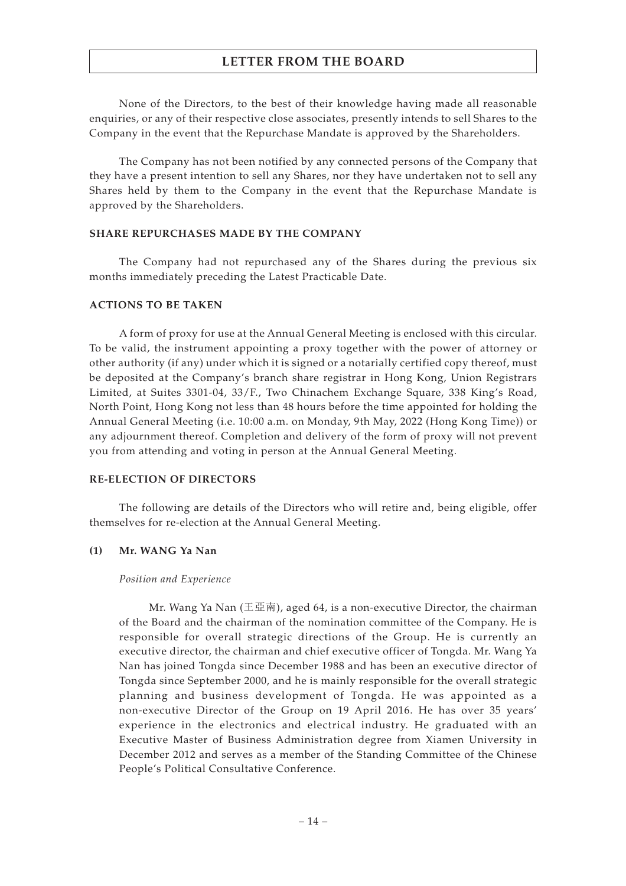None of the Directors, to the best of their knowledge having made all reasonable enquiries, or any of their respective close associates, presently intends to sell Shares to the Company in the event that the Repurchase Mandate is approved by the Shareholders.

The Company has not been notified by any connected persons of the Company that they have a present intention to sell any Shares, nor they have undertaken not to sell any Shares held by them to the Company in the event that the Repurchase Mandate is approved by the Shareholders.

#### **SHARE REPURCHASES MADE BY THE COMPANY**

The Company had not repurchased any of the Shares during the previous six months immediately preceding the Latest Practicable Date.

### **ACTIONS TO BE TAKEN**

A form of proxy for use at the Annual General Meeting is enclosed with this circular. To be valid, the instrument appointing a proxy together with the power of attorney or other authority (if any) under which it is signed or a notarially certified copy thereof, must be deposited at the Company's branch share registrar in Hong Kong, Union Registrars Limited, at Suites 3301-04, 33/F., Two Chinachem Exchange Square, 338 King's Road, North Point, Hong Kong not less than 48 hours before the time appointed for holding the Annual General Meeting (i.e. 10:00 a.m. on Monday, 9th May, 2022 (Hong Kong Time)) or any adjournment thereof. Completion and delivery of the form of proxy will not prevent you from attending and voting in person at the Annual General Meeting.

### **RE-ELECTION OF DIRECTORS**

The following are details of the Directors who will retire and, being eligible, offer themselves for re-election at the Annual General Meeting.

### **(1) Mr. WANG Ya Nan**

### *Position and Experience*

Mr. Wang Ya Nan (王亞南), aged 64, is a non-executive Director, the chairman of the Board and the chairman of the nomination committee of the Company. He is responsible for overall strategic directions of the Group. He is currently an executive director, the chairman and chief executive officer of Tongda. Mr. Wang Ya Nan has joined Tongda since December 1988 and has been an executive director of Tongda since September 2000, and he is mainly responsible for the overall strategic planning and business development of Tongda. He was appointed as a non-executive Director of the Group on 19 April 2016. He has over 35 years' experience in the electronics and electrical industry. He graduated with an Executive Master of Business Administration degree from Xiamen University in December 2012 and serves as a member of the Standing Committee of the Chinese People's Political Consultative Conference.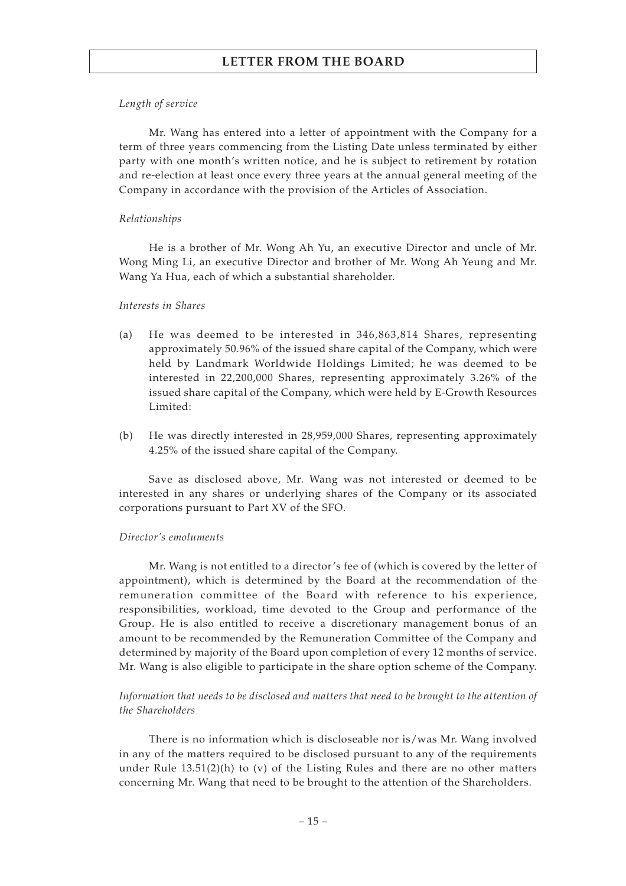#### *Length of service*

Mr. Wang has entered into a letter of appointment with the Company for a term of three years commencing from the Listing Date unless terminated by either party with one month's written notice, and he is subject to retirement by rotation and re-election at least once every three years at the annual general meeting of the Company in accordance with the provision of the Articles of Association.

#### *Relationships*

He is a brother of Mr. Wong Ah Yu, an executive Director and uncle of Mr. Wong Ming Li, an executive Director and brother of Mr. Wong Ah Yeung and Mr. Wang Ya Hua, each of which a substantial shareholder.

#### *Interests in Shares*

- (a) He was deemed to be interested in 346,863,814 Shares, representing approximately 50.96% of the issued share capital of the Company, which were held by Landmark Worldwide Holdings Limited; he was deemed to be interested in 22,200,000 Shares, representing approximately 3.26% of the issued share capital of the Company, which were held by E-Growth Resources Limited:
- (b) He was directly interested in 28,959,000 Shares, representing approximately 4.25% of the issued share capital of the Company.

Save as disclosed above, Mr. Wang was not interested or deemed to be interested in any shares or underlying shares of the Company or its associated corporations pursuant to Part XV of the SFO.

#### *Director's emoluments*

Mr. Wang is not entitled to a director's fee of (which is covered by the letter of appointment), which is determined by the Board at the recommendation of the remuneration committee of the Board with reference to his experience, responsibilities, workload, time devoted to the Group and performance of the Group. He is also entitled to receive a discretionary management bonus of an amount to be recommended by the Remuneration Committee of the Company and determined by majority of the Board upon completion of every 12 months of service. Mr. Wang is also eligible to participate in the share option scheme of the Company.

### *Information that needs to be disclosed and matters that need to be brought to the attention of the Shareholders*

There is no information which is discloseable nor is/was Mr. Wang involved in any of the matters required to be disclosed pursuant to any of the requirements under Rule  $13.51(2)(h)$  to (v) of the Listing Rules and there are no other matters concerning Mr. Wang that need to be brought to the attention of the Shareholders.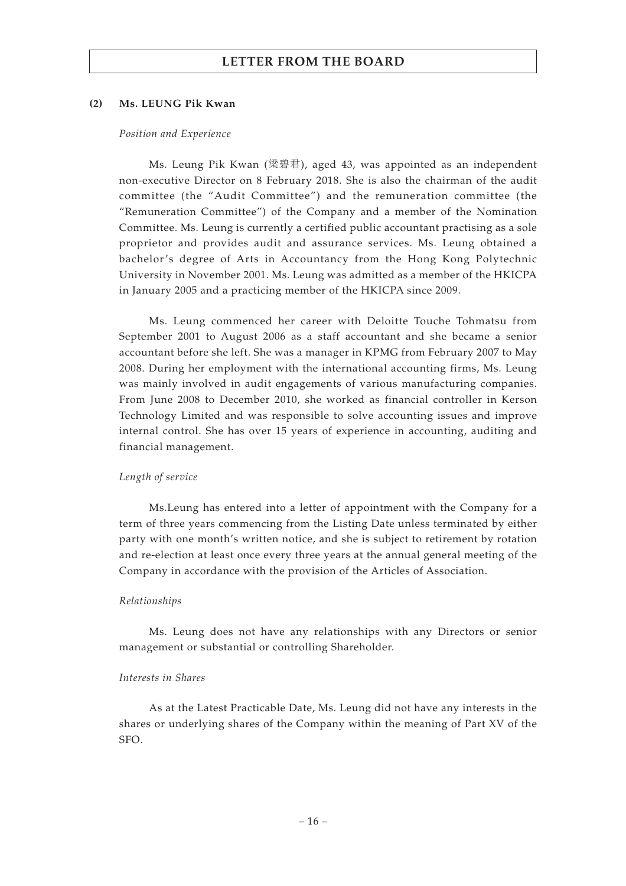### **(2) Ms. LEUNG Pik Kwan**

#### *Position and Experience*

Ms. Leung Pik Kwan (梁碧君), aged 43, was appointed as an independent non-executive Director on 8 February 2018. She is also the chairman of the audit committee (the "Audit Committee") and the remuneration committee (the "Remuneration Committee") of the Company and a member of the Nomination Committee. Ms. Leung is currently a certified public accountant practising as a sole proprietor and provides audit and assurance services. Ms. Leung obtained a bachelor's degree of Arts in Accountancy from the Hong Kong Polytechnic University in November 2001. Ms. Leung was admitted as a member of the HKICPA in January 2005 and a practicing member of the HKICPA since 2009.

Ms. Leung commenced her career with Deloitte Touche Tohmatsu from September 2001 to August 2006 as a staff accountant and she became a senior accountant before she left. She was a manager in KPMG from February 2007 to May 2008. During her employment with the international accounting firms, Ms. Leung was mainly involved in audit engagements of various manufacturing companies. From June 2008 to December 2010, she worked as financial controller in Kerson Technology Limited and was responsible to solve accounting issues and improve internal control. She has over 15 years of experience in accounting, auditing and financial management.

#### *Length of service*

Ms.Leung has entered into a letter of appointment with the Company for a term of three years commencing from the Listing Date unless terminated by either party with one month's written notice, and she is subject to retirement by rotation and re-election at least once every three years at the annual general meeting of the Company in accordance with the provision of the Articles of Association.

#### *Relationships*

Ms. Leung does not have any relationships with any Directors or senior management or substantial or controlling Shareholder.

### *Interests in Shares*

As at the Latest Practicable Date, Ms. Leung did not have any interests in the shares or underlying shares of the Company within the meaning of Part XV of the SFO.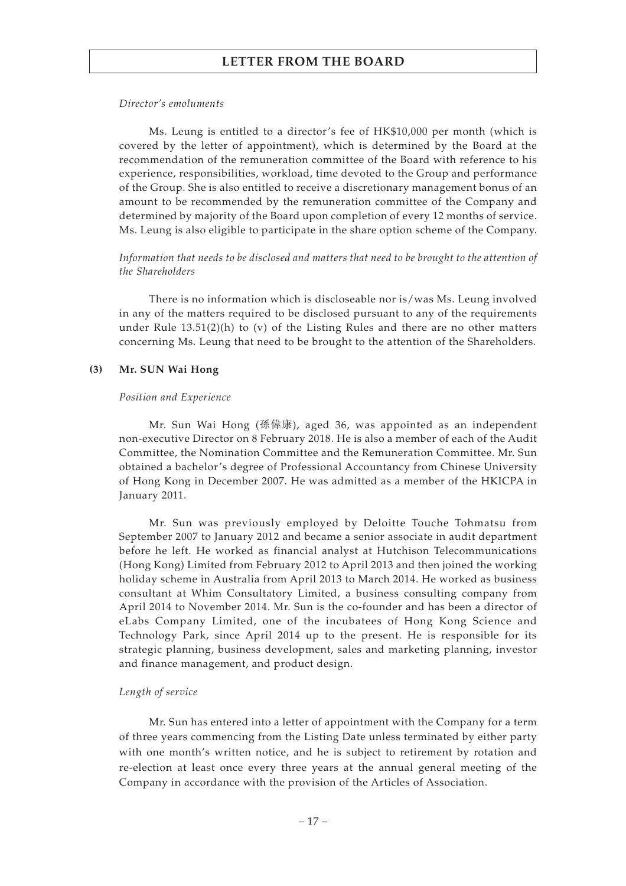#### *Director's emoluments*

Ms. Leung is entitled to a director's fee of HK\$10,000 per month (which is covered by the letter of appointment), which is determined by the Board at the recommendation of the remuneration committee of the Board with reference to his experience, responsibilities, workload, time devoted to the Group and performance of the Group. She is also entitled to receive a discretionary management bonus of an amount to be recommended by the remuneration committee of the Company and determined by majority of the Board upon completion of every 12 months of service. Ms. Leung is also eligible to participate in the share option scheme of the Company.

### *Information that needs to be disclosed and matters that need to be brought to the attention of the Shareholders*

There is no information which is discloseable nor is/was Ms. Leung involved in any of the matters required to be disclosed pursuant to any of the requirements under Rule 13.51(2)(h) to (v) of the Listing Rules and there are no other matters concerning Ms. Leung that need to be brought to the attention of the Shareholders.

#### **(3) Mr. SUN Wai Hong**

#### *Position and Experience*

Mr. Sun Wai Hong (孫偉康), aged 36, was appointed as an independent non-executive Director on 8 February 2018. He is also a member of each of the Audit Committee, the Nomination Committee and the Remuneration Committee. Mr. Sun obtained a bachelor's degree of Professional Accountancy from Chinese University of Hong Kong in December 2007. He was admitted as a member of the HKICPA in January 2011.

Mr. Sun was previously employed by Deloitte Touche Tohmatsu from September 2007 to January 2012 and became a senior associate in audit department before he left. He worked as financial analyst at Hutchison Telecommunications (Hong Kong) Limited from February 2012 to April 2013 and then joined the working holiday scheme in Australia from April 2013 to March 2014. He worked as business consultant at Whim Consultatory Limited, a business consulting company from April 2014 to November 2014. Mr. Sun is the co-founder and has been a director of eLabs Company Limited, one of the incubatees of Hong Kong Science and Technology Park, since April 2014 up to the present. He is responsible for its strategic planning, business development, sales and marketing planning, investor and finance management, and product design.

#### *Length of service*

Mr. Sun has entered into a letter of appointment with the Company for a term of three years commencing from the Listing Date unless terminated by either party with one month's written notice, and he is subject to retirement by rotation and re-election at least once every three years at the annual general meeting of the Company in accordance with the provision of the Articles of Association.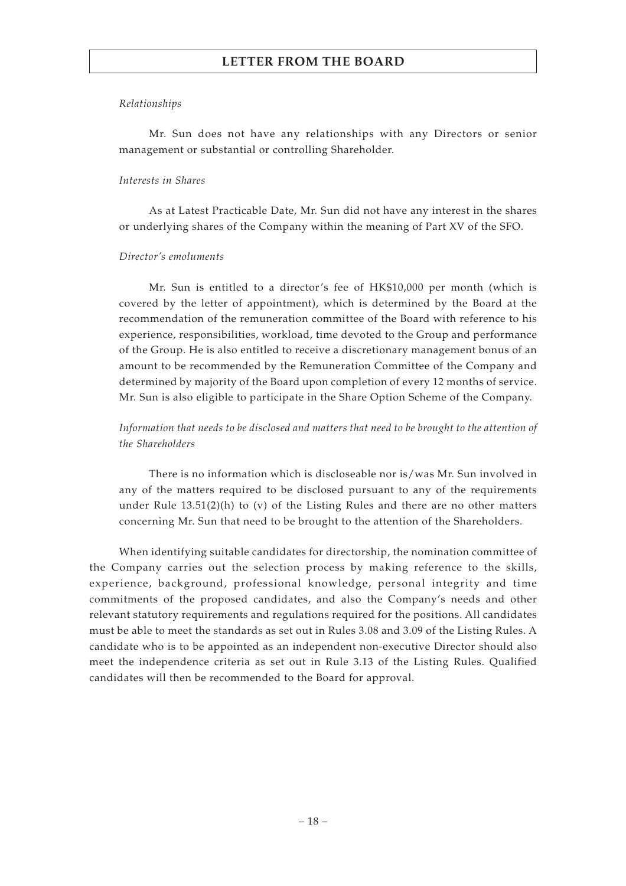#### *Relationships*

Mr. Sun does not have any relationships with any Directors or senior management or substantial or controlling Shareholder.

### *Interests in Shares*

As at Latest Practicable Date, Mr. Sun did not have any interest in the shares or underlying shares of the Company within the meaning of Part XV of the SFO.

#### *Director's emoluments*

Mr. Sun is entitled to a director's fee of HK\$10,000 per month (which is covered by the letter of appointment), which is determined by the Board at the recommendation of the remuneration committee of the Board with reference to his experience, responsibilities, workload, time devoted to the Group and performance of the Group. He is also entitled to receive a discretionary management bonus of an amount to be recommended by the Remuneration Committee of the Company and determined by majority of the Board upon completion of every 12 months of service. Mr. Sun is also eligible to participate in the Share Option Scheme of the Company.

*Information that needs to be disclosed and matters that need to be brought to the attention of the Shareholders*

There is no information which is discloseable nor is/was Mr. Sun involved in any of the matters required to be disclosed pursuant to any of the requirements under Rule  $13.51(2)(h)$  to (v) of the Listing Rules and there are no other matters concerning Mr. Sun that need to be brought to the attention of the Shareholders.

When identifying suitable candidates for directorship, the nomination committee of the Company carries out the selection process by making reference to the skills, experience, background, professional knowledge, personal integrity and time commitments of the proposed candidates, and also the Company's needs and other relevant statutory requirements and regulations required for the positions. All candidates must be able to meet the standards as set out in Rules 3.08 and 3.09 of the Listing Rules. A candidate who is to be appointed as an independent non-executive Director should also meet the independence criteria as set out in Rule 3.13 of the Listing Rules. Qualified candidates will then be recommended to the Board for approval.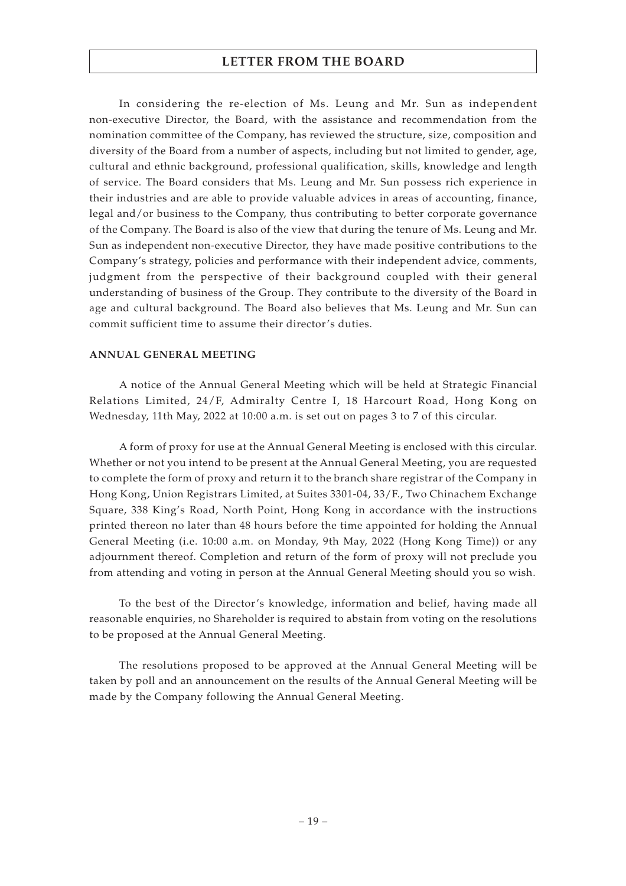In considering the re-election of Ms. Leung and Mr. Sun as independent non-executive Director, the Board, with the assistance and recommendation from the nomination committee of the Company, has reviewed the structure, size, composition and diversity of the Board from a number of aspects, including but not limited to gender, age, cultural and ethnic background, professional qualification, skills, knowledge and length of service. The Board considers that Ms. Leung and Mr. Sun possess rich experience in their industries and are able to provide valuable advices in areas of accounting, finance, legal and/or business to the Company, thus contributing to better corporate governance of the Company. The Board is also of the view that during the tenure of Ms. Leung and Mr. Sun as independent non-executive Director, they have made positive contributions to the Company's strategy, policies and performance with their independent advice, comments, judgment from the perspective of their background coupled with their general understanding of business of the Group. They contribute to the diversity of the Board in age and cultural background. The Board also believes that Ms. Leung and Mr. Sun can commit sufficient time to assume their director's duties.

### **ANNUAL GENERAL MEETING**

A notice of the Annual General Meeting which will be held at Strategic Financial Relations Limited, 24/F, Admiralty Centre I, 18 Harcourt Road, Hong Kong on Wednesday, 11th May, 2022 at 10:00 a.m. is set out on pages 3 to 7 of this circular.

A form of proxy for use at the Annual General Meeting is enclosed with this circular. Whether or not you intend to be present at the Annual General Meeting, you are requested to complete the form of proxy and return it to the branch share registrar of the Company in Hong Kong, Union Registrars Limited, at Suites 3301-04, 33/F., Two Chinachem Exchange Square, 338 King's Road, North Point, Hong Kong in accordance with the instructions printed thereon no later than 48 hours before the time appointed for holding the Annual General Meeting (i.e. 10:00 a.m. on Monday, 9th May, 2022 (Hong Kong Time)) or any adjournment thereof. Completion and return of the form of proxy will not preclude you from attending and voting in person at the Annual General Meeting should you so wish.

To the best of the Director's knowledge, information and belief, having made all reasonable enquiries, no Shareholder is required to abstain from voting on the resolutions to be proposed at the Annual General Meeting.

The resolutions proposed to be approved at the Annual General Meeting will be taken by poll and an announcement on the results of the Annual General Meeting will be made by the Company following the Annual General Meeting.